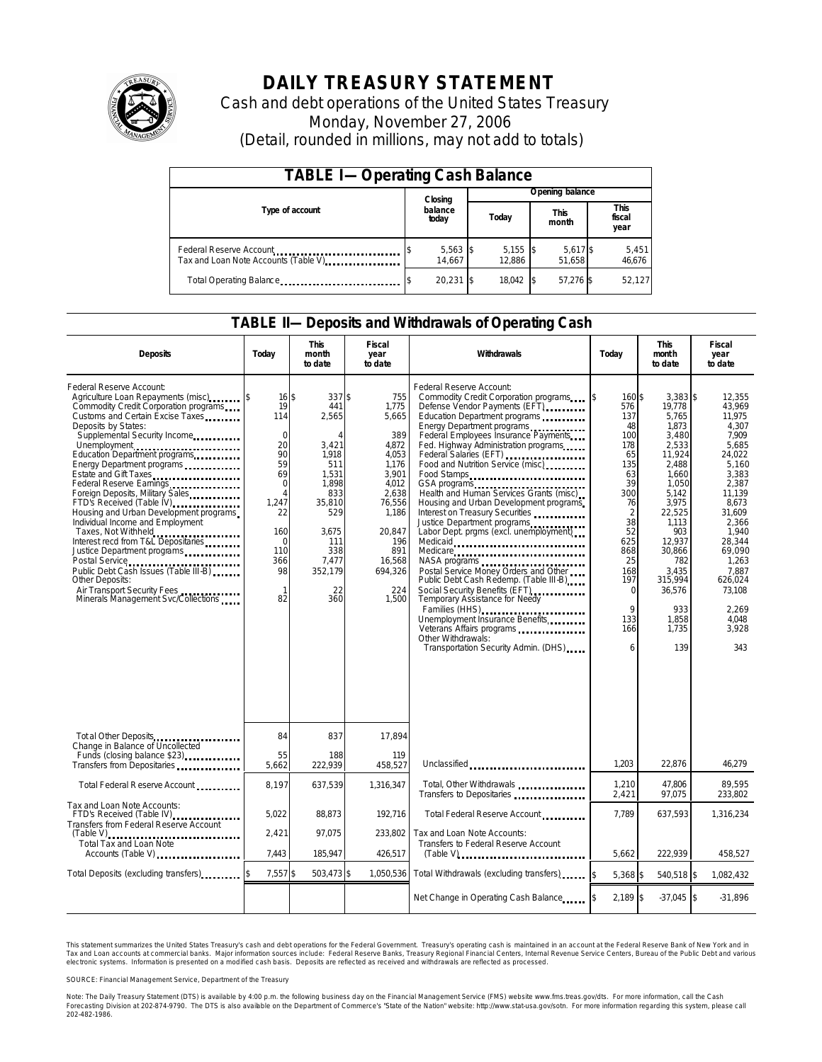

# **DAILY TREASURY STATEMENT**

Cash and debt operations of the United States Treasury Monday, November 27, 2006 (Detail, rounded in millions, may not add to totals)

| <b>TABLE I-Operating Cash Balance</b>                            |  |                      |  |                      |  |                      |  |                               |  |
|------------------------------------------------------------------|--|----------------------|--|----------------------|--|----------------------|--|-------------------------------|--|
|                                                                  |  | Closing              |  | Opening balance      |  |                      |  |                               |  |
| Type of account                                                  |  | balance<br>today     |  | Today                |  | <b>This</b><br>month |  | <b>This</b><br>fiscal<br>year |  |
| Federal Reserve Account<br>Tax and Loan Note Accounts (Table V). |  | $5,563$ \$<br>14.667 |  | $5,155$ \$<br>12.886 |  | 5,617 \$<br>51.658   |  | 5,451<br>46,676               |  |
| Total Operating Balance                                          |  | $20.231$ \$          |  | 18.042               |  | 57.276 \$            |  | 52.127                        |  |

### **TABLE II—Deposits and Withdrawals of Operating Cash**

| <b>Deposits</b>                                                                                                                                                                                                                                                                                                                                                                                                                                                                                                                                                                                                                                                                                                      | Today                                                                                                                                                             | <b>This</b><br>month<br>to date                                                                                                                        | <b>Fiscal</b><br>year<br>to date                                                                                                                                   | Withdrawals                                                                                                                                                                                                                                                                                                                                                                                                                                                                                                                                                                                                                                                                                                                                                                                                                                                                                          | Today                                                                                                                                                                                              | <b>This</b><br>mont h<br>to date                                                                                                                                                                                                   | Fiscal<br>year<br>to date                                                                                                                                                                                                              |
|----------------------------------------------------------------------------------------------------------------------------------------------------------------------------------------------------------------------------------------------------------------------------------------------------------------------------------------------------------------------------------------------------------------------------------------------------------------------------------------------------------------------------------------------------------------------------------------------------------------------------------------------------------------------------------------------------------------------|-------------------------------------------------------------------------------------------------------------------------------------------------------------------|--------------------------------------------------------------------------------------------------------------------------------------------------------|--------------------------------------------------------------------------------------------------------------------------------------------------------------------|------------------------------------------------------------------------------------------------------------------------------------------------------------------------------------------------------------------------------------------------------------------------------------------------------------------------------------------------------------------------------------------------------------------------------------------------------------------------------------------------------------------------------------------------------------------------------------------------------------------------------------------------------------------------------------------------------------------------------------------------------------------------------------------------------------------------------------------------------------------------------------------------------|----------------------------------------------------------------------------------------------------------------------------------------------------------------------------------------------------|------------------------------------------------------------------------------------------------------------------------------------------------------------------------------------------------------------------------------------|----------------------------------------------------------------------------------------------------------------------------------------------------------------------------------------------------------------------------------------|
| Federal Reserve Account:<br>Agriculture Loan Repayments (misc)<br>Commodity Credit Corporation programs<br>Customs and Certain Excise Taxes<br>Deposits by States:<br>Supplemental Security Income<br>Unemployment<br>Education Department programs<br>Energy Department programs<br>Estate and Gift Taxes<br>Federal Reserve Earnings<br>Foreign Deposits, Military Sales<br>FTD's Received (Table IV)<br>Housing and Urban Development programs<br>Individual Income and Employment<br>Taxes, Not Withheld<br>Interest recd from T&L Depositaries<br>Justice Department programs<br>Public Debt Cash Issues (Table III-B)<br>Other Deposits:<br>Air Transport Security Fees<br>Minerals Management Svc/Collections | 16S<br>19<br>114<br>$\mathbf 0$<br>20<br>90<br>59<br>69<br>$\Omega$<br>$\overline{A}$<br>1,247<br>22<br>160<br>$\Omega$<br>110<br>366<br>98<br>$\mathbf{1}$<br>82 | 337 \$<br>441<br>2,565<br>Δ<br>3,421<br>1.918<br>511<br>1.531<br>1.898<br>833<br>35,810<br>529<br>3.675<br>111<br>338<br>7,477<br>352,179<br>22<br>360 | 755<br>1,775<br>5,665<br>389<br>4,872<br>4.053<br>1.176<br>3,901<br>4.012<br>2.638<br>76,556<br>1,186<br>20,847<br>196<br>891<br>16,568<br>694,326<br>224<br>1,500 | Federal Reserve Account:<br>Commodity Credit Corporation programs<br>Defense Vendor Payments (EFT)<br>Education Department programs<br>Energy Department programs<br>Federal Employees Insurance Payments<br>Fed. Highway Administration programs<br>Federal Salaries (EFT)<br>Food and Nutrition Service (misc)<br>Food Stamps<br>GSA programs<br>Health and Human Services Grants (misc)<br>Housing and Urban Development programs<br>Interest on Treasury Securities<br>Justice Department programs<br>Labor Dept. prgms (excl. unemployment)<br>Medicaid<br>Medicare<br>NASA programs<br>Postal Service Money Orders and Other<br>Public Debt Cash Redemp. (Table III-B)<br>Social Security Benefits (EFT)<br><br>Temporary Assistance for Needy<br>Families (HHS)<br>Unemployment Insurance Benefits<br>Veterans Affairs programs<br>Other Withdrawals:<br>Transportation Security Admin. (DHS) | 160 \$<br>5<br>576<br>137<br>48<br>100<br>178<br>65<br>135<br>63<br>39<br>300<br>76<br>$\overline{2}$<br>38<br>52<br>625<br>868<br>25<br>168<br>197<br>$\Omega$<br>$\mathsf{Q}$<br>133<br>166<br>6 | $3.383$ \$<br>19,778<br>5,765<br>1,873<br>3,480<br>2,533<br>11,924<br>2,488<br>1,660<br>1.050<br>5.142<br>3,975<br>22,525<br>1,113<br>903<br>12,937<br>30.866<br>782<br>3.435<br>315,994<br>36,576<br>933<br>1,858<br>1,735<br>139 | 12.355<br>43,969<br>11.975<br>4,307<br>7.909<br>5.685<br>24.022<br>5.160<br>3.383<br>2.387<br>11.139<br>8,673<br>31,609<br>2,366<br>1.940<br>28,344<br>69.090<br>1,263<br>7.887<br>626,024<br>73,108<br>2,269<br>4.048<br>3,928<br>343 |
| Tot al Other Deposits<br>Change in Balance of Uncollected<br>Funds (closing balance \$23)<br>Funds (closing balance \$23)<br>Transfers from Depositaries                                                                                                                                                                                                                                                                                                                                                                                                                                                                                                                                                             | 84<br>55<br>5,662                                                                                                                                                 | 837<br>188<br>222,939                                                                                                                                  | 17,894<br>119<br>458,527                                                                                                                                           | Unclassified                                                                                                                                                                                                                                                                                                                                                                                                                                                                                                                                                                                                                                                                                                                                                                                                                                                                                         | 1,203                                                                                                                                                                                              | 22,876                                                                                                                                                                                                                             | 46,279                                                                                                                                                                                                                                 |
| Total Federal Reserve Account                                                                                                                                                                                                                                                                                                                                                                                                                                                                                                                                                                                                                                                                                        | 8,197                                                                                                                                                             | 637,539                                                                                                                                                | 1,316,347                                                                                                                                                          | Total, Other Withdrawals                                                                                                                                                                                                                                                                                                                                                                                                                                                                                                                                                                                                                                                                                                                                                                                                                                                                             | 1,210                                                                                                                                                                                              | 47,806                                                                                                                                                                                                                             | 89,595                                                                                                                                                                                                                                 |
| Tax and Loan Note Accounts:<br>FTD's Received (Table IV)<br>Transfers from Federal Reserve Account<br>$(Table V)$<br><br>Total Tax and Loan Note                                                                                                                                                                                                                                                                                                                                                                                                                                                                                                                                                                     | 5,022<br>2,421                                                                                                                                                    | 88,873<br>97.075                                                                                                                                       | 192,716<br>233.802                                                                                                                                                 | Transfers to Depositaries<br>Total Federal Reserve Account<br>Tax and Loan Note Accounts:<br>Transfers to Federal Reserve Account                                                                                                                                                                                                                                                                                                                                                                                                                                                                                                                                                                                                                                                                                                                                                                    | 2,421<br>7,789                                                                                                                                                                                     | 97,075<br>637,593                                                                                                                                                                                                                  | 233,802<br>1,316,234                                                                                                                                                                                                                   |
| Accounts (Table V)<br>Total Deposits (excluding transfers)                                                                                                                                                                                                                                                                                                                                                                                                                                                                                                                                                                                                                                                           | 7.443<br>7,557\$                                                                                                                                                  | 185,947<br>503,473 \$                                                                                                                                  | 426,517<br>1,050,536                                                                                                                                               | Total Withdrawals (excluding transfers)                                                                                                                                                                                                                                                                                                                                                                                                                                                                                                                                                                                                                                                                                                                                                                                                                                                              | 5,662<br>$5,368$ \$                                                                                                                                                                                | 222,939<br>540,518 \$                                                                                                                                                                                                              | 458,527<br>1,082,432                                                                                                                                                                                                                   |
|                                                                                                                                                                                                                                                                                                                                                                                                                                                                                                                                                                                                                                                                                                                      |                                                                                                                                                                   |                                                                                                                                                        |                                                                                                                                                                    | Net Change in Operating Cash Balance                                                                                                                                                                                                                                                                                                                                                                                                                                                                                                                                                                                                                                                                                                                                                                                                                                                                 | $2,189$ \$                                                                                                                                                                                         | $-37,045$ \$                                                                                                                                                                                                                       | $-31,896$                                                                                                                                                                                                                              |

This statement summarizes the United States Treasury's cash and debt operations for the Federal Government. Treasury's operating cash is maintained in an account at the Federal Reserve Bank of New York and in Tax and Loan accounts at commercial banks. Major information sources include: Federal Reserve Banks, Treasury Regional Financial Centers, Internal Revenue Service Centers, Bureau of the Public Debt and various<br>electronic s

SOURCE: Financial Management Service, Department of the Treasury

Note: The Daily Treasury Statement (DTS) is available by 4:00 p.m. the following business day on the Financial Management Service (FMS) website www.fms.treas.gov/dts.<br>Forecasting Division at 202-874-9790. The DTS is also a 'S) is available by 4:00 p.m. the following business day on the Financial Management Service (FMS) website www.fms.treas.gov/dts. For more information, call the Cash<br>The DTS is also available on the Department of Commerce'